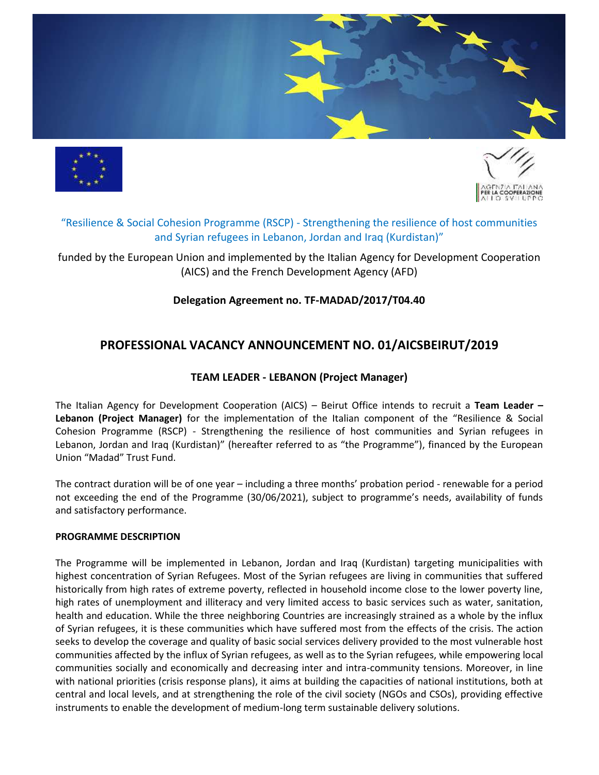





# "Resilience & Social Cohesion Programme (RSCP) - Strengthening the resilience of host communities and Syrian refugees in Lebanon, Jordan and Iraq (Kurdistan)"

funded by the European Union and implemented by the Italian Agency for Development Cooperation (AICS) and the French Development Agency (AFD)

# **Delegation Agreement no. TF-MADAD/2017/T04.40**

# **PROFESSIONAL VACANCY ANNOUNCEMENT NO. 01/AICSBEIRUT/2019**

# **TEAM LEADER - LEBANON (Project Manager)**

The Italian Agency for Development Cooperation (AICS) – Beirut Office intends to recruit a **Team Leader – Lebanon (Project Manager)** for the implementation of the Italian component of the "Resilience & Social Cohesion Programme (RSCP) - Strengthening the resilience of host communities and Syrian refugees in Lebanon, Jordan and Iraq (Kurdistan)" (hereafter referred to as "the Programme"), financed by the European Union "Madad" Trust Fund.

The contract duration will be of one year – including a three months' probation period - renewable for a period not exceeding the end of the Programme (30/06/2021), subject to programme's needs, availability of funds and satisfactory performance.

#### **PROGRAMME DESCRIPTION**

The Programme will be implemented in Lebanon, Jordan and Iraq (Kurdistan) targeting municipalities with highest concentration of Syrian Refugees. Most of the Syrian refugees are living in communities that suffered historically from high rates of extreme poverty, reflected in household income close to the lower poverty line, high rates of unemployment and illiteracy and very limited access to basic services such as water, sanitation, health and education. While the three neighboring Countries are increasingly strained as a whole by the influx of Syrian refugees, it is these communities which have suffered most from the effects of the crisis. The action seeks to develop the coverage and quality of basic social services delivery provided to the most vulnerable host communities affected by the influx of Syrian refugees, as well as to the Syrian refugees, while empowering local communities socially and economically and decreasing inter and intra-community tensions. Moreover, in line with national priorities (crisis response plans), it aims at building the capacities of national institutions, both at central and local levels, and at strengthening the role of the civil society (NGOs and CSOs), providing effective instruments to enable the development of medium-long term sustainable delivery solutions.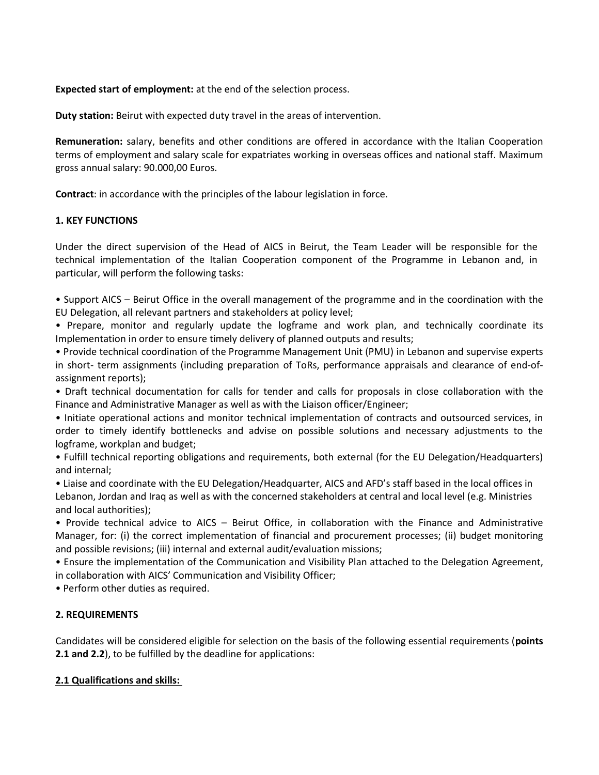**Expected start of employment:** at the end of the selection process.

**Duty station:** Beirut with expected duty travel in the areas of intervention.

**Remuneration:** salary, benefits and other conditions are offered in accordance with the Italian Cooperation terms of employment and salary scale for expatriates working in overseas offices and national staff. Maximum gross annual salary: 90.000,00 Euros.

**Contract**: in accordance with the principles of the labour legislation in force.

# **1. KEY FUNCTIONS**

Under the direct supervision of the Head of AICS in Beirut, the Team Leader will be responsible for the technical implementation of the Italian Cooperation component of the Programme in Lebanon and, in particular, will perform the following tasks:

• Support AICS – Beirut Office in the overall management of the programme and in the coordination with the EU Delegation, all relevant partners and stakeholders at policy level;

• Prepare, monitor and regularly update the logframe and work plan, and technically coordinate its Implementation in order to ensure timely delivery of planned outputs and results;

• Provide technical coordination of the Programme Management Unit (PMU) in Lebanon and supervise experts in short- term assignments (including preparation of ToRs, performance appraisals and clearance of end-ofassignment reports);

• Draft technical documentation for calls for tender and calls for proposals in close collaboration with the Finance and Administrative Manager as well as with the Liaison officer/Engineer;

• Initiate operational actions and monitor technical implementation of contracts and outsourced services, in order to timely identify bottlenecks and advise on possible solutions and necessary adjustments to the logframe, workplan and budget;

• Fulfill technical reporting obligations and requirements, both external (for the EU Delegation/Headquarters) and internal;

• Liaise and coordinate with the EU Delegation/Headquarter, AICS and AFD's staff based in the local offices in Lebanon, Jordan and Iraq as well as with the concerned stakeholders at central and local level (e.g. Ministries and local authorities);

• Provide technical advice to AICS – Beirut Office, in collaboration with the Finance and Administrative Manager, for: (i) the correct implementation of financial and procurement processes; (ii) budget monitoring and possible revisions; (iii) internal and external audit/evaluation missions;

• Ensure the implementation of the Communication and Visibility Plan attached to the Delegation Agreement, in collaboration with AICS' Communication and Visibility Officer;

• Perform other duties as required.

# **2. REQUIREMENTS**

Candidates will be considered eligible for selection on the basis of the following essential requirements (**points 2.1 and 2.2**), to be fulfilled by the deadline for applications:

## **2.1 Qualifications and skills:**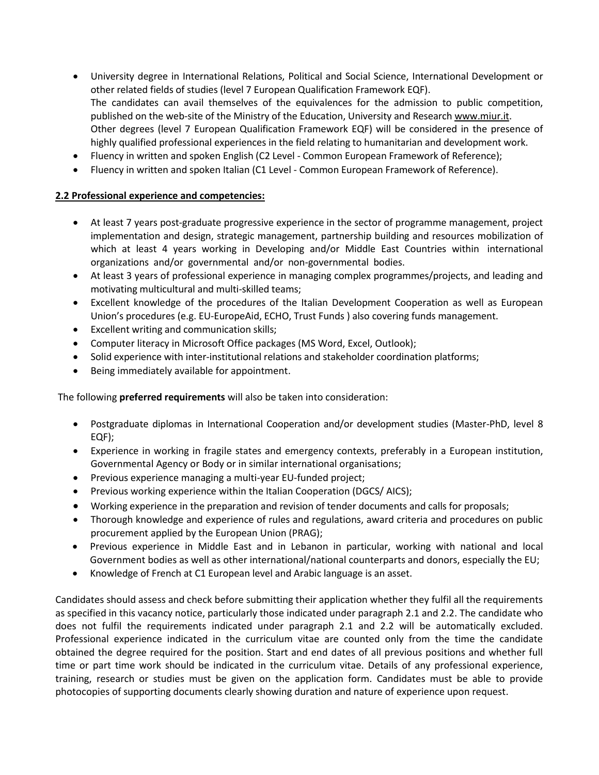- University degree in International Relations, Political and Social Science, International Development or other related fields of studies (level 7 European Qualification Framework EQF). The candidates can avail themselves of the equivalences for the admission to public competition, published on the web-site of the Ministry of the Education, University and Research [www.miur.it.](http://www.miur.it/) Other degrees (level 7 European Qualification Framework EQF) will be considered in the presence of highly qualified professional experiences in the field relating to humanitarian and development work.
- Fluency in written and spoken English (C2 Level Common European Framework of Reference);
- Fluency in written and spoken Italian (C1 Level Common European Framework of Reference).

# **2.2 Professional experience and competencies:**

- At least 7 years post-graduate progressive experience in the sector of programme management, project implementation and design, strategic management, partnership building and resources mobilization of which at least 4 years working in Developing and/or Middle East Countries within international organizations and/or governmental and/or non-governmental bodies.
- At least 3 years of professional experience in managing complex programmes/projects, and leading and motivating multicultural and multi-skilled teams;
- Excellent knowledge of the procedures of the Italian Development Cooperation as well as European Union's procedures (e.g. EU-EuropeAid, ECHO, Trust Funds ) also covering funds management.
- Excellent writing and communication skills;
- Computer literacy in Microsoft Office packages (MS Word, Excel, Outlook);
- Solid experience with inter-institutional relations and stakeholder coordination platforms;
- Being immediately available for appointment.

The following **preferred requirements** will also be taken into consideration:

- Postgraduate diplomas in International Cooperation and/or development studies (Master-PhD, level 8 EQF);
- Experience in working in fragile states and emergency contexts, preferably in a European institution, Governmental Agency or Body or in similar international organisations;
- Previous experience managing a multi-year EU-funded project;
- Previous working experience within the Italian Cooperation (DGCS/AICS);
- Working experience in the preparation and revision of tender documents and calls for proposals;
- Thorough knowledge and experience of rules and regulations, award criteria and procedures on public procurement applied by the European Union (PRAG);
- Previous experience in Middle East and in Lebanon in particular, working with national and local Government bodies as well as other international/national counterparts and donors, especially the EU;
- Knowledge of French at C1 European level and Arabic language is an asset.

Candidates should assess and check before submitting their application whether they fulfil all the requirements as specified in this vacancy notice, particularly those indicated under paragraph 2.1 and 2.2. The candidate who does not fulfil the requirements indicated under paragraph 2.1 and 2.2 will be automatically excluded. Professional experience indicated in the curriculum vitae are counted only from the time the candidate obtained the degree required for the position. Start and end dates of all previous positions and whether full time or part time work should be indicated in the curriculum vitae. Details of any professional experience, training, research or studies must be given on the application form. Candidates must be able to provide photocopies of supporting documents clearly showing duration and nature of experience upon request.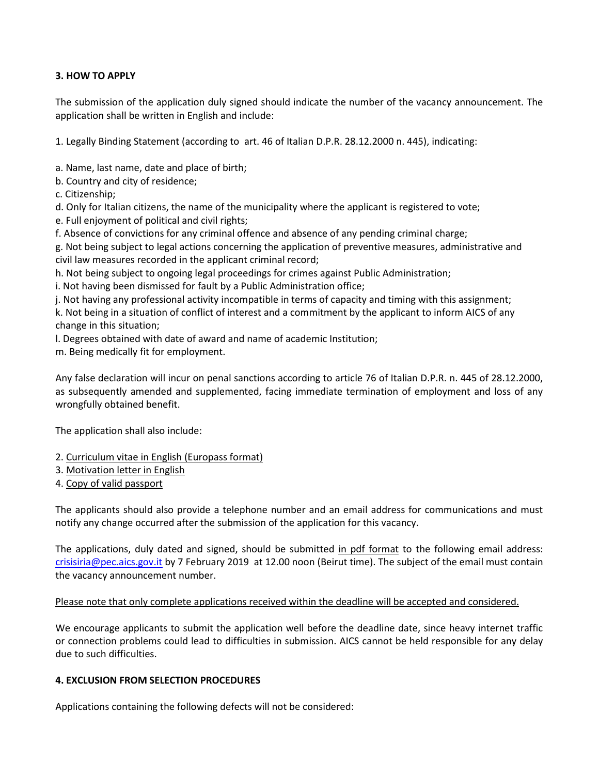# **3. HOW TO APPLY**

The submission of the application duly signed should indicate the number of the vacancy announcement. The application shall be written in English and include:

1. Legally Binding Statement (according to art. 46 of Italian D.P.R. 28.12.2000 n. 445), indicating:

a. Name, last name, date and place of birth;

- b. Country and city of residence;
- c. Citizenship;

d. Only for Italian citizens, the name of the municipality where the applicant is registered to vote;

- e. Full enjoyment of political and civil rights;
- f. Absence of convictions for any criminal offence and absence of any pending criminal charge;

g. Not being subject to legal actions concerning the application of preventive measures, administrative and civil law measures recorded in the applicant criminal record;

h. Not being subject to ongoing legal proceedings for crimes against Public Administration;

i. Not having been dismissed for fault by a Public Administration office;

j. Not having any professional activity incompatible in terms of capacity and timing with this assignment;

k. Not being in a situation of conflict of interest and a commitment by the applicant to inform AICS of any change in this situation;

l. Degrees obtained with date of award and name of academic Institution;

m. Being medically fit for employment.

Any false declaration will incur on penal sanctions according to article 76 of Italian D.P.R. n. 445 of 28.12.2000, as subsequently amended and supplemented, facing immediate termination of employment and loss of any wrongfully obtained benefit.

The application shall also include:

- 2. Curriculum vitae in English (Europass format)
- 3. Motivation letter in English
- 4. Copy of valid passport

The applicants should also provide a telephone number and an email address for communications and must notify any change occurred after the submission of the application for this vacancy.

The applications, duly dated and signed, should be submitted in pdf format to the following email address: [crisisiria@pec.aics.gov.it](mailto:crisisiria@pec.aics.gov.it) by 7 February 2019 at 12.00 noon (Beirut time). The subject of the email must contain the vacancy announcement number.

## Please note that only complete applications received within the deadline will be accepted and considered.

We encourage applicants to submit the application well before the deadline date, since heavy internet traffic or connection problems could lead to difficulties in submission. AICS cannot be held responsible for any delay due to such difficulties.

## **4. EXCLUSION FROM SELECTION PROCEDURES**

Applications containing the following defects will not be considered: